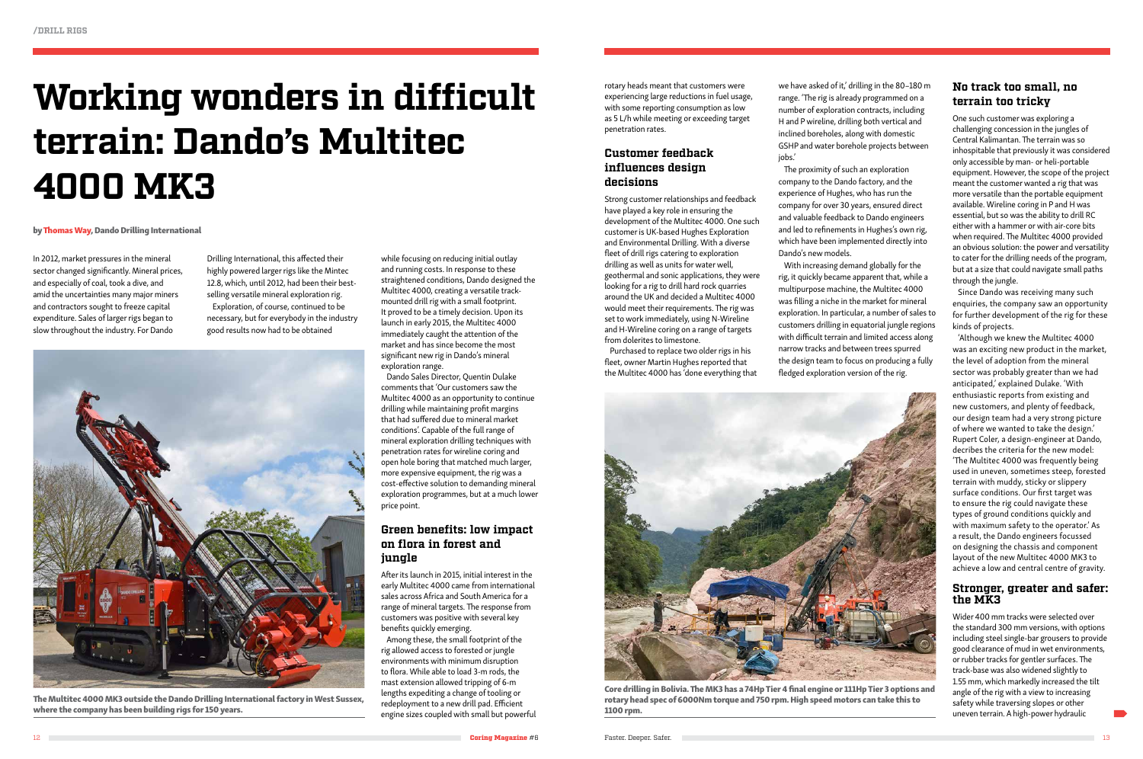# **Working wonders in difficult terrain: Dando's Multitec 4000 MK3**

In 2012, market pressures in the mineral sector changed significantly. Mineral prices, and especially of coal, took a dive, and amid the uncertainties many major miners and contractors sought to freeze capital expenditure. Sales of larger rigs began to slow throughout the industry. For Dando

Drilling International, this affected their highly powered larger rigs like the Mintec 12.8, which, until 2012, had been their bestselling versatile mineral exploration rig. Exploration, of course, continued to be

necessary, but for everybody in the industry good results now had to be obtained

while focusing on reducing initial outlay and running costs. In response to these straightened conditions, Dando designed the Multitec 4000, creating a versatile trackmounted drill rig with a small footprint. It proved to be a timely decision. Upon its launch in early 2015, the Multitec 4000 immediately caught the attention of the market and has since become the most significant new rig in Dando's mineral exploration range.

Dando Sales Director, Quentin Dulake comments that 'Our customers saw the Multitec 4000 as an opportunity to continue drilling while maintaining profit margins that had suffered due to mineral market conditions'. Capable of the full range of mineral exploration drilling techniques with penetration rates for wireline coring and open hole boring that matched much larger, more expensive equipment, the rig was a cost-effective solution to demanding mineral exploration programmes, but at a much lower price point.

## **Green benefits: low impact on flora in forest and jungle**

we have asked of it,' drilling in the 80–180 m range. 'The rig is already programmed on a number of exploration contracts, including H and P wireline, drilling both vertical and inclined boreholes, along with domestic GSHP and water borehole projects between iobs.'

After its launch in 2015, initial interest in the early Multitec 4000 came from international sales across Africa and South America for a range of mineral targets. The response from customers was positive with several key benefits quickly emerging.

Among these, the small footprint of the rig allowed access to forested or jungle environments with minimum disruption to flora. While able to load 3-m rods, the mast extension allowed tripping of 6-m lengths expediting a change of tooling or redeployment to a new drill pad. Efficient engine sizes coupled with small but powerful

#### by Thomas Way, Dando Drilling International



The Multitec 4000 MK3 outside the Dando Drilling International factory in West Sussex, where the company has been building rigs for 150 years.

rotary heads meant that customers were experiencing large reductions in fuel usage, with some reporting consumption as low as 5 L/h while meeting or exceeding target penetration rates.

#### **Customer feedback influences design decisions**

Strong customer relationships and feedback have played a key role in ensuring the development of the Multitec 4000. One such customer is UK-based Hughes Exploration and Environmental Drilling. With a diverse fleet of drill rigs catering to exploration drilling as well as units for water well, geothermal and sonic applications, they were looking for a rig to drill hard rock quarries around the UK and decided a Multitec 4000 would meet their requirements. The rig was set to work immediately, using N-Wireline and H-Wireline coring on a range of targets from dolerites to limestone.

Purchased to replace two older rigs in his fleet, owner Martin Hughes reported that the Multitec 4000 has 'done everything that

The proximity of such an exploration company to the Dando factory, and the experience of Hughes, who has run the company for over 30 years, ensured direct and valuable feedback to Dando engineers and led to refinements in Hughes's own rig, which have been implemented directly into Dando's new models.

With increasing demand globally for the rig, it quickly became apparent that, while a multipurpose machine, the Multitec 4000 was filling a niche in the market for mineral exploration. In particular, a number of sales to customers drilling in equatorial jungle regions with difficult terrain and limited access along narrow tracks and between trees spurred the design team to focus on producing a fully fledged exploration version of the rig.

## **No track too small, no terrain too tricky**

One such customer was exploring a challenging concession in the jungles of Central Kalimantan. The terrain was so inhospitable that previously it was considered only accessible by man- or heli-portable equipment. However, the scope of the project meant the customer wanted a rig that was more versatile than the portable equipment available. Wireline coring in P and H was essential, but so was the ability to drill RC either with a hammer or with air-core bits when required. The Multitec 4000 provided an obvious solution: the power and versatility to cater for the drilling needs of the program, but at a size that could navigate small paths through the jungle.

Since Dando was receiving many such enquiries, the company saw an opportunity for further development of the rig for these kinds of projects.

'Although we knew the Multitec 4000 was an exciting new product in the market, the level of adoption from the mineral sector was probably greater than we had anticipated,' explained Dulake. 'With enthusiastic reports from existing and new customers, and plenty of feedback, our design team had a very strong picture of where we wanted to take the design.' Rupert Coler, a design-engineer at Dando, decribes the criteria for the new model: 'The Multitec 4000 was frequently being used in uneven, sometimes steep, forested terrain with muddy, sticky or slippery surface conditions. Our first target was to ensure the rig could navigate these types of ground conditions quickly and with maximum safety to the operator.' As a result, the Dando engineers focussed on designing the chassis and component layout of the new Multitec 4000 MK3 to achieve a low and central centre of gravity.

#### **Stronger, greater and safer: the MK3**

Wider 400 mm tracks were selected over the standard 300 mm versions, with options including steel single-bar grousers to provide good clearance of mud in wet environments, or rubber tracks for gentler surfaces. The track-base was also widened slightly to 1.55 mm, which markedly increased the tilt angle of the rig with a view to increasing safety while traversing slopes or other uneven terrain. A high-power hydraulic



Core drilling in Bolivia. The MK3 has a 74Hp Tier 4 final engine or 111Hp Tier 3 options and rotary head spec of 6000Nm torque and 750 rpm. High speed motors can take this to 1100 rpm.